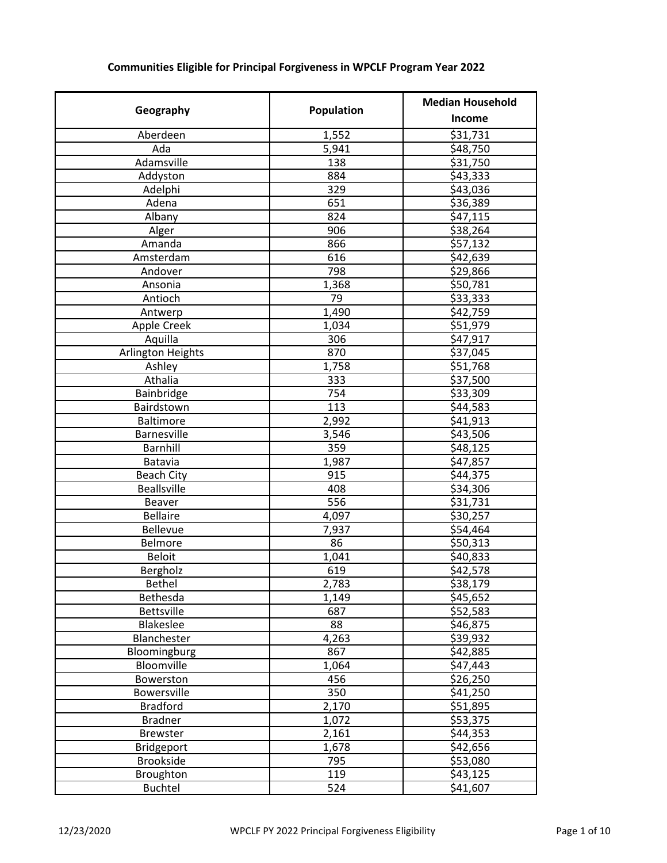## **Geography Community Population** Median Household **Income** Aberdeen 1,552 \$31,731 Ada 5,941 \$48,750 Adamsville 138 and 138 Addyston 1 884 \$43,333 Adelphi 329 \$43,036 Adena 651 \$36,389 Albany 824 \$47,115 Alger 906 \$38,264 Amanda 866 \$57,132 Amsterdam 1616 542,639 Andover 1 798 andover 529,866 Ansonia 1,368 | \$50,781 Antioch 79 \$33,333 Antwerp 1,490 \$42,759 Apple Creek 1,034 | \$51,979 Aquilla 306 \$47,917 Arlington Heights 870 \$37,045<br>Ashley 1,758 \$51,768 Ashley 1,758 \$51,768 Athalia 333 \$37,500 Bainbridge 754 \$33,309 **Bairdstown** Baltimore 1 2,992 | \$41,913 Barnesville 3,546 \$43,506 Barnhill 1 359 \$48,125 Batavia 1,987 \$47,857 Beach City 915 \$44,375 Beallsville 408 \$34,306 Beaver 556 \$31,731 Bellaire 1 4,097 \$30,257 Bellevue 7,937 \$54,464 Belmore 86 \$50,313 Beloit 1,041 \$40,833 Bergholz 619 \$42,578 Bethel 2,783 \$38,179 Bethesda 1,149 \$45,652 Bettsville 687 \$52,583 Blakeslee 1 88 and 546,875 Blanchester 1, 4,263 39,932 Bloomingburg 867 542,885<br>Bloomville 1,064 547,443 Bloomville 1,064 Bowerston 456 \$26,250 Bowersville 350 \$41,250  $Bradford$   $2,170$ Bradner 1,072 | \$53,375 Brewster 2,161 \$44,353 Bridgeport 1,678 | \$42,656 Brookside 795 \$53,080 Broughton 119 119 \$43,125 Buchtel **1** 524  $\bigcup$  541,607

## **Communities Eligible for Principal Forgiveness in WPCLF Program Year 2022**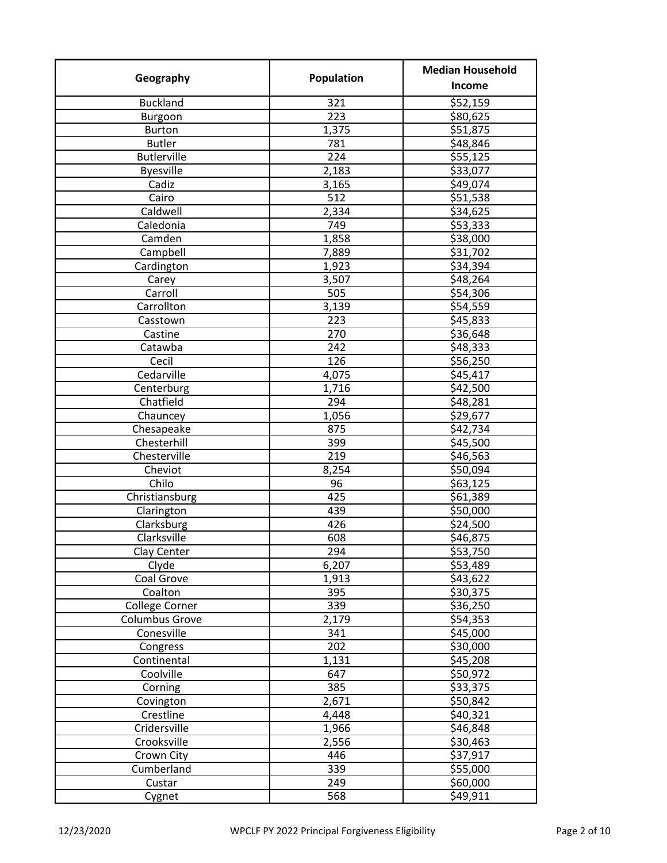| Geography             | Population | <b>Median Household</b> |
|-----------------------|------------|-------------------------|
|                       |            | Income                  |
| <b>Buckland</b>       | 321        | \$52,159                |
| Burgoon               | 223        | \$80,625                |
| <b>Burton</b>         | 1,375      | \$51,875                |
| <b>Butler</b>         | 781        | \$48,846                |
| <b>Butlerville</b>    | 224        | \$55,125                |
| <b>Byesville</b>      | 2,183      | \$33,077                |
| Cadiz                 | 3,165      | \$49,074                |
| Cairo                 | 512        | \$51,538                |
| Caldwell              | 2,334      | \$34,625                |
| Caledonia             | 749        | \$53,333                |
| Camden                | 1,858      | \$38,000                |
| Campbell              | 7,889      | \$31,702                |
| Cardington            | 1,923      | \$34,394                |
| Carey                 | 3,507      | \$48,264                |
| Carroll               | 505        | \$54,306                |
| Carrollton            | 3,139      | \$54,559                |
| Casstown              | 223        | \$45,833                |
| Castine               | 270        | \$36,648                |
| Catawba               | 242        | \$48,333                |
| Cecil                 | 126        | \$56,250                |
| Cedarville            | 4,075      | \$45,417                |
| Centerburg            | 1,716      | \$42,500                |
| Chatfield             | 294        | \$48,281                |
| Chauncey              | 1,056      | \$29,677                |
| Chesapeake            | 875        | \$42,734                |
| Chesterhill           | 399        | \$45,500                |
| Chesterville          | 219        | \$46,563                |
| Cheviot               | 8,254      | \$50,094                |
| Chilo                 | 96         | \$63,125                |
| Christiansburg        | 425        | \$61,389                |
| Clarington            | 439        | \$50,000                |
| Clarksburg            | 426        | \$24,500                |
| Clarksville           | 608        | \$46,875                |
| Clay Center           | 294        | \$53,750                |
| Clyde                 | 6,207      | \$53,489                |
| Coal Grove            | 1,913      | \$43,622                |
| Coalton               | 395        | \$30,375                |
| College Corner        | 339        | \$36,250                |
| <b>Columbus Grove</b> | 2,179      | \$54,353                |
| Conesville            | 341        | \$45,000                |
| Congress              | 202        | \$30,000                |
| Continental           | 1,131      | \$45,208                |
| Coolville             | 647        | \$50,972                |
| Corning               | 385        | \$33,375                |
| Covington             | 2,671      | \$50,842                |
| Crestline             | 4,448      | \$40,321                |
| Cridersville          | 1,966      | \$46,848                |
| Crooksville           | 2,556      | \$30,463                |
| Crown City            | 446        | \$37,917                |
| Cumberland            | 339        | \$55,000                |
| Custar                | 249        | \$60,000                |
| Cygnet                | 568        | \$49,911                |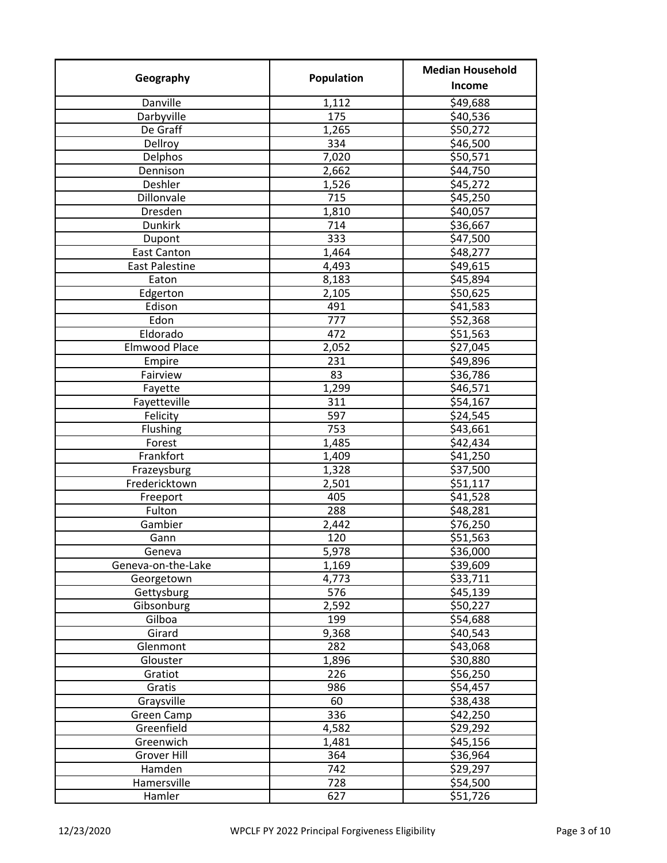| Geography             | Population | <b>Median Household</b> |
|-----------------------|------------|-------------------------|
|                       |            | Income                  |
| Danville              | 1,112      | \$49,688                |
| Darbyville            | 175        | \$40,536                |
| De Graff              | 1,265      | \$50,272                |
| Dellroy               | 334        | \$46,500                |
| Delphos               | 7,020      | \$50,571                |
| Dennison              | 2,662      | \$44,750                |
| Deshler               | 1,526      | \$45,272                |
| Dillonvale            | 715        | \$45,250                |
| Dresden               | 1,810      | \$40,057                |
| <b>Dunkirk</b>        | 714        | \$36,667                |
| Dupont                | 333        | \$47,500                |
| <b>East Canton</b>    | 1,464      | \$48,277                |
| <b>East Palestine</b> | 4,493      | \$49,615                |
| Eaton                 | 8,183      | \$45,894                |
| Edgerton              | 2,105      | \$50,625                |
| Edison                | 491        | \$41,583                |
| Edon                  | 777        | \$52,368                |
| Eldorado              | 472        | \$51,563                |
| <b>Elmwood Place</b>  | 2,052      | \$27,045                |
| Empire                | 231        | \$49,896                |
| Fairview              | 83         | \$36,786                |
| Fayette               | 1,299      | \$46,571                |
| Fayetteville          | 311        | \$54,167                |
| Felicity              | 597        | \$24,545                |
| Flushing              | 753        | \$43,661                |
| Forest                | 1,485      | \$42,434                |
| Frankfort             | 1,409      | \$41,250                |
| Frazeysburg           | 1,328      | \$37,500                |
| Fredericktown         | 2,501      | \$51,117                |
| Freeport              | 405        | \$41,528                |
| Fulton                | 288        | \$48,281                |
| Gambier               | 2,442      | \$76,250                |
| Gann                  | 120        | \$51,563                |
| Geneva                | 5,978      | \$36,000                |
| Geneva-on-the-Lake    | 1,169      | \$39,609                |
| Georgetown            | 4,773      | \$33,711                |
| Gettysburg            | 576        | \$45,139                |
| Gibsonburg            | 2,592      | \$50,227                |
|                       | 199        |                         |
| Gilboa                | 9,368      | \$54,688<br>\$40,543    |
| Girard<br>Glenmont    | 282        |                         |
|                       |            | \$43,068                |
| Glouster              | 1,896      | \$30,880                |
| Gratiot               | 226        | \$56,250                |
| Gratis                | 986        | \$54,457                |
| Graysville            | 60         | \$38,438                |
| Green Camp            | 336        | \$42,250                |
| Greenfield            | 4,582      | \$29,292                |
| Greenwich             | 1,481      | \$45,156                |
| <b>Grover Hill</b>    | 364        | \$36,964                |
| Hamden                | 742        | \$29,297                |
| Hamersville           | 728        | \$54,500                |
| Hamler                | 627        | \$51,726                |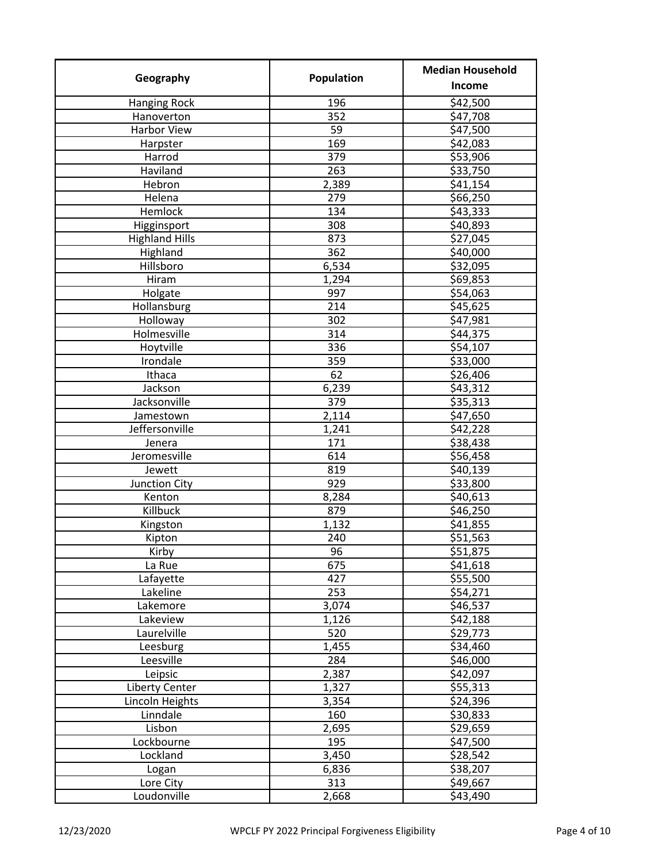| Geography             | Population | <b>Median Household</b> |
|-----------------------|------------|-------------------------|
|                       |            | Income                  |
| <b>Hanging Rock</b>   | 196        | \$42,500                |
| Hanoverton            | 352        | \$47,708                |
| <b>Harbor View</b>    | 59         | \$47,500                |
| Harpster              | 169        | \$42,083                |
| Harrod                | 379        | \$53,906                |
| Haviland              | 263        | \$33,750                |
| Hebron                | 2,389      | \$41,154                |
| Helena                | 279        | \$66,250                |
| Hemlock               | 134        | \$43,333                |
| Higginsport           | 308        | \$40,893                |
| <b>Highland Hills</b> | 873        | \$27,045                |
| Highland              | 362        | \$40,000                |
| Hillsboro             | 6,534      | \$32,095                |
| Hiram                 | 1,294      | \$69,853                |
| Holgate               | 997        | \$54,063                |
| Hollansburg           | 214        | \$45,625                |
| Holloway              | 302        | \$47,981                |
| Holmesville           | 314        | \$44,375                |
| Hoytville             | 336        | \$54,107                |
| Irondale              | 359        | \$33,000                |
| Ithaca                | 62         | \$26,406                |
| Jackson               | 6,239      | \$43,312                |
| Jacksonville          | 379        | \$35,313                |
| Jamestown             | 2,114      | \$47,650                |
| Jeffersonville        | 1,241      | \$42,228                |
| Jenera                | 171        | \$38,438                |
| Jeromesville          | 614        | \$56,458                |
| Jewett                | 819        | \$40,139                |
| Junction City         | 929        | \$33,800                |
| Kenton                | 8,284      | \$40,613                |
| Killbuck              | 879        | \$46,250                |
| Kingston              | 1,132      | \$41,855                |
| Kipton                | 240        | \$51,563                |
| Kirby                 | 96         | \$51,875                |
| La Rue                | 675        | \$41,618                |
| Lafayette             | 427        | \$55,500                |
| Lakeline              | 253        | \$54,271                |
| Lakemore              | 3,074      | \$46,537                |
| Lakeview              | 1,126      | \$42,188                |
| Laurelville           | 520        | \$29,773                |
| Leesburg              | 1,455      | \$34,460                |
| Leesville             | 284        | \$46,000                |
| Leipsic               | 2,387      | \$42,097                |
| <b>Liberty Center</b> | 1,327      | \$55,313                |
| Lincoln Heights       | 3,354      | \$24,396                |
| Linndale              | 160        | \$30,833                |
| Lisbon                | 2,695      | \$29,659                |
| Lockbourne            | 195        | \$47,500                |
| Lockland              | 3,450      | \$28,542                |
| Logan                 | 6,836      | \$38,207                |
| Lore City             | 313        | \$49,667                |
| Loudonville           | 2,668      | \$43,490                |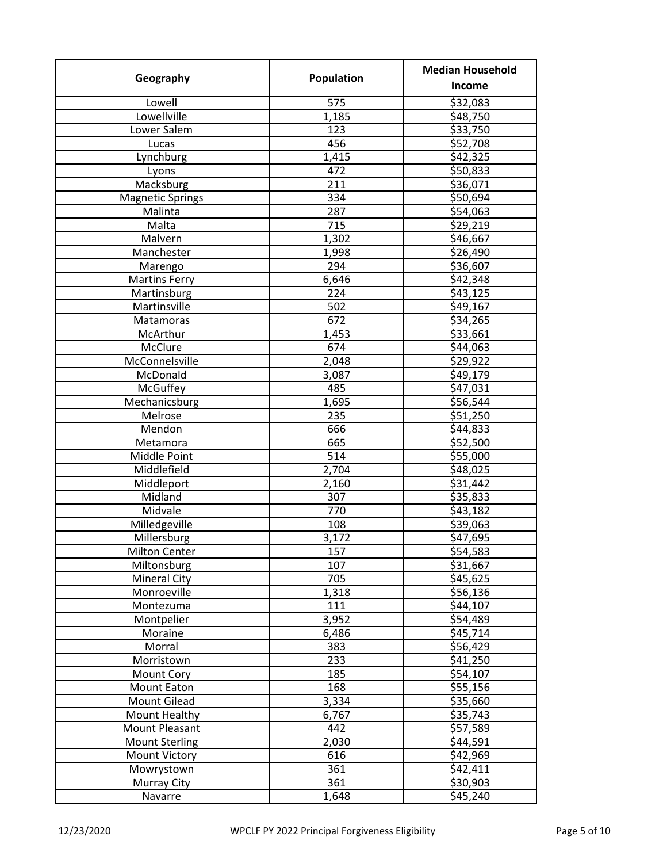| Geography               | Population       | <b>Median Household</b> |
|-------------------------|------------------|-------------------------|
|                         |                  | Income                  |
| Lowell                  | 575              | $\overline{$}32,083$    |
| Lowellville             | 1,185            | \$48,750                |
| Lower Salem             | 123              | \$33,750                |
| Lucas                   | 456              | \$52,708                |
| Lynchburg               | 1,415            | \$42,325                |
| Lyons                   | 472              | \$50,833                |
| Macksburg               | 211              | \$36,071                |
| <b>Magnetic Springs</b> | 334              | \$50,694                |
| Malinta                 | 287              | \$54,063                |
| Malta                   | 715              | \$29,219                |
| Malvern                 | 1,302            | \$46,667                |
| Manchester              | 1,998            | \$26,490                |
| Marengo                 | 294              | \$36,607                |
| <b>Martins Ferry</b>    | 6,646            | \$42,348                |
| Martinsburg             | 224              | \$43,125                |
| Martinsville            | 502              | \$49,167                |
| Matamoras               | $\overline{672}$ | \$34,265                |
| McArthur                | 1,453            | \$33,661                |
| McClure                 | 674              | \$44,063                |
| McConnelsville          | 2,048            | \$29,922                |
| McDonald                | 3,087            | \$49,179                |
| McGuffey                | 485              | \$47,031                |
| Mechanicsburg           | 1,695            | \$56,544                |
|                         |                  |                         |
| Melrose                 | 235              | \$51,250                |
| Mendon                  | 666              | \$44,833                |
| Metamora                | 665<br>514       | \$52,500                |
| Middle Point            |                  | \$55,000                |
| Middlefield             | 2,704            | \$48,025                |
| Middleport              | 2,160            | \$31,442                |
| Midland                 | 307              | \$35,833                |
| Midvale                 | 770              | \$43,182                |
| Milledgeville           | 108              | \$39,063                |
| Millersburg             | 3,172            | \$47,695                |
| <b>Milton Center</b>    | 157              | \$54,583                |
| Miltonsburg             | 107              | \$31,667                |
| <b>Mineral City</b>     | 705              | \$45,625                |
| Monroeville             | 1,318            | \$56,136                |
| Montezuma               | 111              | \$44,107                |
| Montpelier              | 3,952            | \$54,489                |
| Moraine                 | 6,486            | \$45,714                |
| Morral                  | 383              | \$56,429                |
| Morristown              | 233              | \$41,250                |
| Mount Cory              | 185              | \$54,107                |
| Mount Eaton             | 168              | \$55,156                |
| Mount Gilead            | 3,334            | \$35,660                |
| Mount Healthy           | 6,767            | \$35,743                |
| Mount Pleasant          | 442              | \$57,589                |
| <b>Mount Sterling</b>   | 2,030            | \$44,591                |
| <b>Mount Victory</b>    | 616              | \$42,969                |
| Mowrystown              | 361              | \$42,411                |
| Murray City             | 361              | \$30,903                |
| Navarre                 | 1,648            | \$45,240                |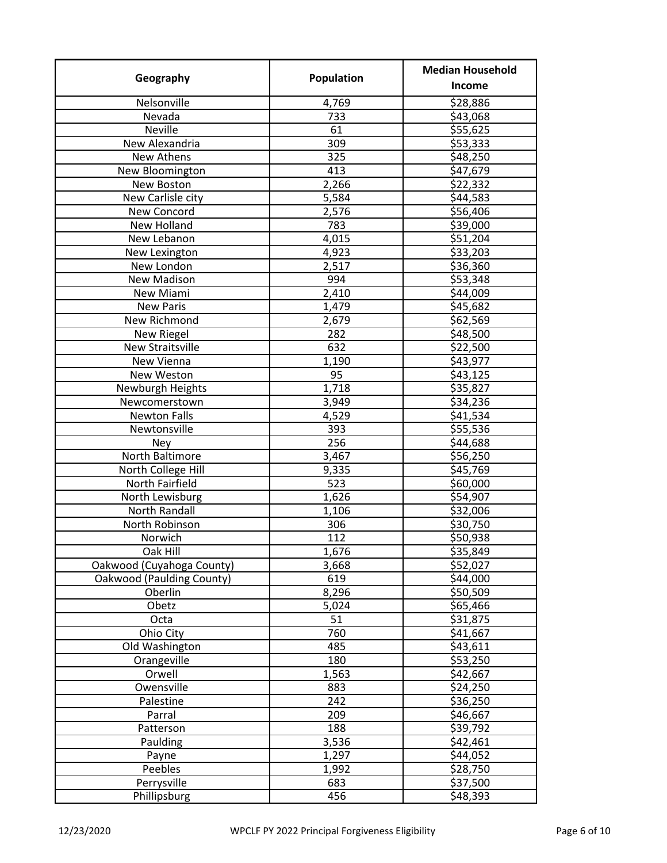| Geography                            | Population   | <b>Median Household</b> |
|--------------------------------------|--------------|-------------------------|
|                                      |              | Income                  |
| Nelsonville                          | 4,769        | \$28,886                |
| Nevada                               | 733          | \$43,068                |
| Neville                              | 61           | \$55,625                |
| New Alexandria                       | 309          | \$53,333                |
| New Athens                           | 325          | \$48,250                |
| New Bloomington                      | 413          | \$47,679                |
| New Boston                           | 2,266        | \$22,332                |
| New Carlisle city                    | 5,584        | \$44,583                |
| New Concord                          | 2,576        | \$56,406                |
| New Holland                          | 783          | \$39,000                |
| New Lebanon                          | 4,015        | \$51,204                |
| New Lexington                        | 4,923        | \$33,203                |
| New London                           | 2,517        | \$36,360                |
| <b>New Madison</b>                   | 994          | \$53,348                |
| New Miami                            | 2,410        | \$44,009                |
| <b>New Paris</b>                     | 1,479        | \$45,682                |
| New Richmond                         | 2,679        | \$62,569                |
| New Riegel                           | 282          | \$48,500                |
| <b>New Straitsville</b>              | 632          | \$22,500                |
| New Vienna                           | 1,190        | \$43,977                |
| New Weston                           | 95           | \$43,125                |
| Newburgh Heights                     | 1,718        | \$35,827                |
| Newcomerstown                        | 3,949        | \$34,236                |
| <b>Newton Falls</b>                  | 4,529        | \$41,534                |
| Newtonsville                         | 393          | \$55,536                |
| <b>Ney</b>                           | 256          | \$44,688                |
| North Baltimore                      | 3,467        | \$56,250                |
| North College Hill                   | 9,335        | \$45,769                |
| North Fairfield                      | 523          | \$60,000                |
| North Lewisburg                      | 1,626        | \$54,907                |
| <b>North Randall</b>                 | 1,106        | \$32,006                |
| North Robinson                       | 306          | \$30,750                |
| Norwich                              | 112          | \$50,938                |
|                                      |              |                         |
| Oak Hill                             | 1,676        | \$35,849                |
| Oakwood (Cuyahoga County)            | 3,668<br>619 | \$52,027                |
| Oakwood (Paulding County)<br>Oberlin | 8,296        | \$44,000<br>\$50,509    |
| Obetz                                | 5,024        | \$65,466                |
|                                      | 51           | \$31,875                |
| Octa                                 | 760          |                         |
| Ohio City                            |              | \$41,667                |
| Old Washington                       | 485          | \$43,611                |
| Orangeville                          | 180          | \$53,250                |
| Orwell                               | 1,563        | \$42,667                |
| Owensville                           | 883          | \$24,250                |
| Palestine                            | 242          | \$36,250                |
| Parral                               | 209          | \$46,667                |
| Patterson                            | 188          | \$39,792                |
| Paulding                             | 3,536        | \$42,461                |
| Payne                                | 1,297        | \$44,052                |
| Peebles                              | 1,992        | \$28,750                |
| Perrysville                          | 683          | \$37,500                |
| Phillipsburg                         | 456          | \$48,393                |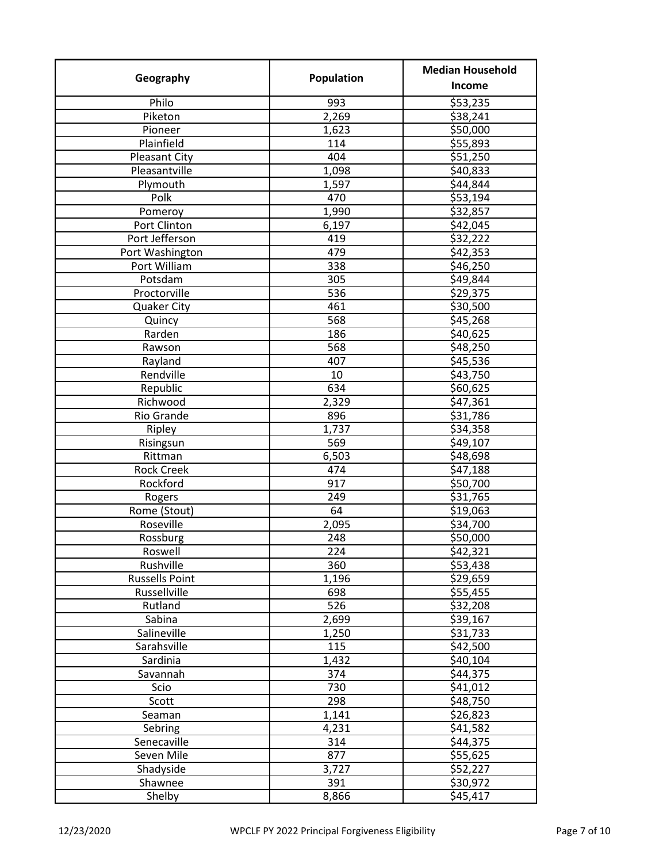| Geography             | Population | <b>Median Household</b> |
|-----------------------|------------|-------------------------|
|                       |            | Income                  |
| Philo                 | 993        | \$53,235                |
| Piketon               | 2,269      | \$38,241                |
| Pioneer               | 1,623      | \$50,000                |
| Plainfield            | 114        | \$55,893                |
| <b>Pleasant City</b>  | 404        | \$51,250                |
| Pleasantville         | 1,098      | \$40,833                |
| Plymouth              | 1,597      | \$44,844                |
| Polk                  | 470        | \$53,194                |
| Pomeroy               | 1,990      | \$32,857                |
| Port Clinton          | 6,197      | \$42,045                |
| Port Jefferson        | 419        | \$32,222                |
| Port Washington       | 479        | \$42,353                |
| Port William          | 338        | \$46,250                |
| Potsdam               | 305        | \$49,844                |
| Proctorville          | 536        | \$29,375                |
| Quaker City           | 461        | \$30,500                |
| Quincy                | 568        | \$45,268                |
| Rarden                | 186        | \$40,625                |
| Rawson                | 568        | \$48,250                |
| Rayland               | 407        | \$45,536                |
| Rendville             | 10         | \$43,750                |
| Republic              | 634        | \$60,625                |
| Richwood              | 2,329      | \$47,361                |
| Rio Grande            | 896        | \$31,786                |
| Ripley                | 1,737      | \$34,358                |
| Risingsun             | 569        | \$49,107                |
| Rittman               | 6,503      | \$48,698                |
| <b>Rock Creek</b>     | 474        | \$47,188                |
| Rockford              | 917        | \$50,700                |
| Rogers                | 249        | \$31,765                |
| Rome (Stout)          | 64         | \$19,063                |
| Roseville             | 2,095      | \$34,700                |
| Rossburg              | 248        | \$50,000                |
| Roswell               | 224        | \$42,321                |
| Rushville             | 360        | \$53,438                |
| <b>Russells Point</b> | 1,196      | \$29,659                |
| Russellville          | 698        | \$55,455                |
| Rutland               | 526        | \$32,208                |
| Sabina                | 2,699      | \$39,167                |
| Salineville           | 1,250      | \$31,733                |
| Sarahsville           | 115        | \$42,500                |
| Sardinia              | 1,432      | \$40,104                |
| Savannah              | 374        | \$44,375                |
| Scio                  | 730        | \$41,012                |
| Scott                 | 298        | \$48,750                |
| Seaman                | 1,141      | \$26,823                |
| Sebring               | 4,231      | \$41,582                |
| Senecaville           | 314        | \$44,375                |
| Seven Mile            | 877        | \$55,625                |
| Shadyside             | 3,727      | \$52,227                |
| Shawnee               | 391        | \$30,972                |
| Shelby                | 8,866      | \$45,417                |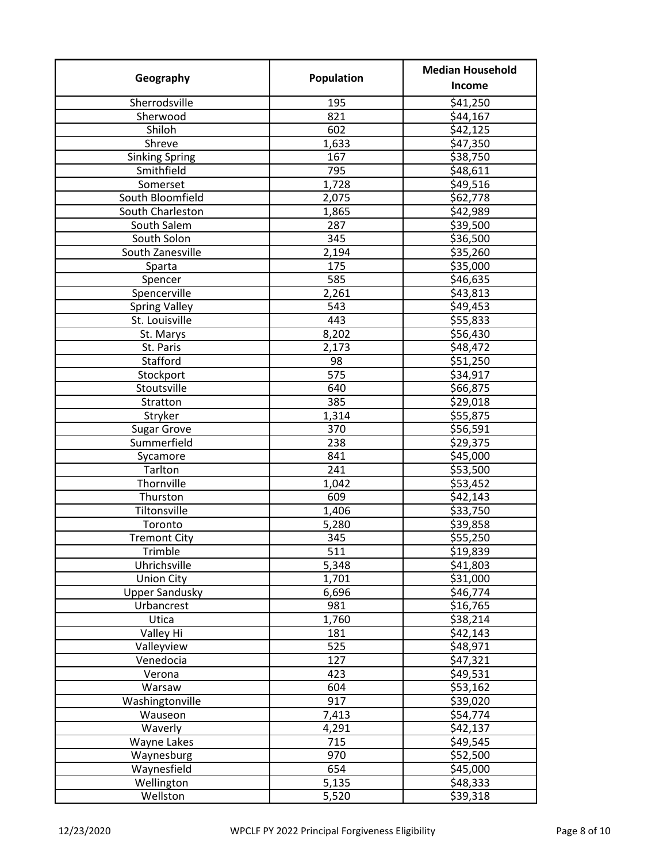| Geography             | Population | <b>Median Household</b> |
|-----------------------|------------|-------------------------|
|                       |            | Income                  |
| Sherrodsville         | 195        | \$41,250                |
| Sherwood              | 821        | \$44,167                |
| Shiloh                | 602        | \$42,125                |
| Shreve                | 1,633      | \$47,350                |
| <b>Sinking Spring</b> | 167        | \$38,750                |
| Smithfield            | 795        | \$48,611                |
| Somerset              | 1,728      | \$49,516                |
| South Bloomfield      | 2,075      | \$62,778                |
| South Charleston      | 1,865      | \$42,989                |
| South Salem           | 287        | \$39,500                |
| South Solon           | 345        | \$36,500                |
| South Zanesville      | 2,194      | \$35,260                |
| Sparta                | 175        | \$35,000                |
| Spencer               | 585        | \$46,635                |
| Spencerville          | 2,261      | \$43,813                |
| <b>Spring Valley</b>  | 543        | \$49,453                |
| St. Louisville        | 443        | \$55,833                |
| St. Marys             | 8,202      | \$56,430                |
| St. Paris             | 2,173      | \$48,472                |
| Stafford              | 98         | \$51,250                |
| Stockport             | 575        | \$34,917                |
| Stoutsville           | 640        | \$66,875                |
| Stratton              | 385        | \$29,018                |
| Stryker               | 1,314      | \$55,875                |
| <b>Sugar Grove</b>    | 370        | \$56,591                |
| Summerfield           | 238        | \$29,375                |
| Sycamore              | 841        | \$45,000                |
| Tarlton               | 241        | \$53,500                |
| Thornville            | 1,042      | \$53,452                |
| Thurston              | 609        | \$42,143                |
| Tiltonsville          | 1,406      | \$33,750                |
| Toronto               | 5,280      | \$39,858                |
| <b>Tremont City</b>   | 345        | 555,250                 |
| Trimble               | 511        | \$19,839                |
| Uhrichsville          | 5,348      | \$41,803                |
| <b>Union City</b>     | 1,701      | \$31,000                |
| <b>Upper Sandusky</b> | 6,696      | \$46,774                |
| Urbancrest            | 981        | \$16,765                |
| Utica                 | 1,760      | \$38,214                |
| Valley Hi             | 181        | \$42,143                |
| Valleyview            | 525        | \$48,971                |
| Venedocia             | 127        | \$47,321                |
| Verona                | 423        | \$49,531                |
| Warsaw                | 604        | \$53,162                |
| Washingtonville       | 917        | \$39,020                |
| Wauseon               | 7,413      | \$54,774                |
| Waverly               | 4,291      | \$42,137                |
| Wayne Lakes           | 715        | \$49,545                |
| Waynesburg            | 970        | \$52,500                |
| Waynesfield           | 654        | \$45,000                |
| Wellington            | 5,135      | \$48,333                |
| Wellston              | 5,520      | \$39,318                |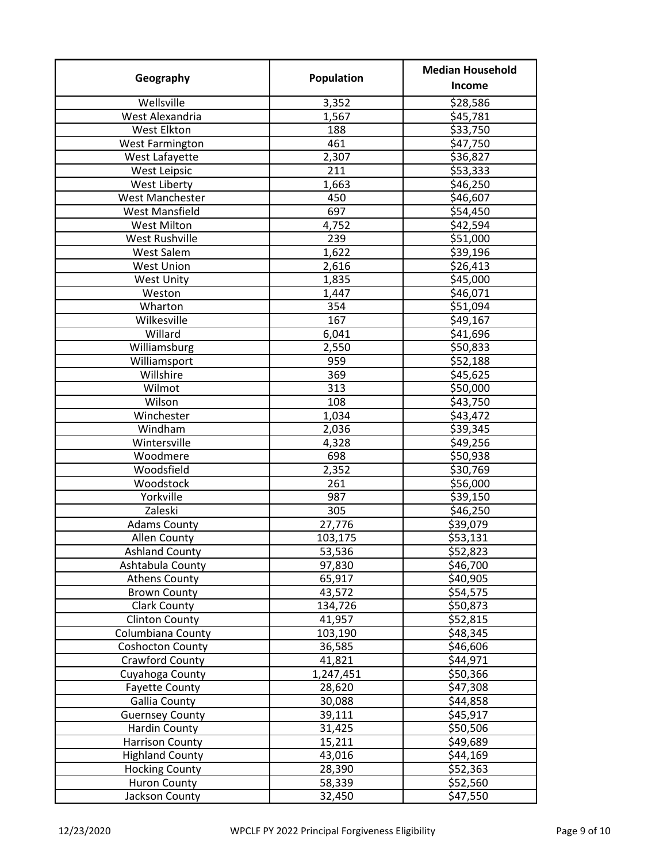| Geography               | Population       | <b>Median Household</b> |
|-------------------------|------------------|-------------------------|
|                         |                  | Income                  |
| Wellsville              | 3,352            | \$28,586                |
| West Alexandria         | 1,567            | \$45,781                |
| West Elkton             | 188              | \$33,750                |
| <b>West Farmington</b>  | 461              | \$47,750                |
| West Lafayette          | 2,307            | \$36,827                |
| West Leipsic            | 211              | \$53,333                |
| West Liberty            | 1,663            | \$46,250                |
| West Manchester         | 450              | \$46,607                |
| <b>West Mansfield</b>   | 697              | \$54,450                |
| <b>West Milton</b>      | 4,752            | \$42,594                |
| West Rushville          | 239              | \$51,000                |
| West Salem              | 1,622            | \$39,196                |
| <b>West Union</b>       | 2,616            | \$26,413                |
| <b>West Unity</b>       | 1,835            | \$45,000                |
| Weston                  | 1,447            | \$46,071                |
| Wharton                 | 354              | \$51,094                |
| Wilkesville             | 167              | \$49,167                |
| Willard                 | 6,041            | \$41,696                |
| Williamsburg            | 2,550            | \$50,833                |
| Williamsport            | 959              | \$52,188                |
| Willshire               | 369              | \$45,625                |
| Wilmot                  | 313              | \$50,000                |
| Wilson                  | 108              | \$43,750                |
| Winchester              | 1,034            | \$43,472                |
| Windham                 | 2,036            | \$39,345                |
| Wintersville            | 4,328            | \$49,256                |
| Woodmere                | 698              | \$50,938                |
| Woodsfield              | 2,352            | \$30,769                |
| Woodstock               | 261              | \$56,000                |
| Yorkville               | 987              | \$39,150                |
| Zaleski                 | 305              | \$46,250                |
| <b>Adams County</b>     | 27,776           | \$39,079                |
| Allen County            | 103,175          | \$53,131                |
| <b>Ashland County</b>   |                  | \$52,823                |
| Ashtabula County        | 53,536<br>97,830 | \$46,700                |
| <b>Athens County</b>    | 65,917           | \$40,905                |
| <b>Brown County</b>     | 43,572           | \$54,575                |
| Clark County            | 134,726          | \$50,873                |
|                         | 41,957           |                         |
| <b>Clinton County</b>   |                  | \$52,815<br>\$48,345    |
| Columbiana County       | 103,190          |                         |
| <b>Coshocton County</b> | 36,585           | \$46,606                |
| Crawford County         | 41,821           | \$44,971                |
| Cuyahoga County         | 1,247,451        | \$50,366                |
| <b>Fayette County</b>   | 28,620           | \$47,308                |
| <b>Gallia County</b>    | 30,088           | \$44,858                |
| <b>Guernsey County</b>  | 39,111           | \$45,917                |
| Hardin County           | 31,425           | \$50,506                |
| <b>Harrison County</b>  | 15,211           | \$49,689                |
| <b>Highland County</b>  | 43,016           | \$44,169                |
| <b>Hocking County</b>   | 28,390           | \$52,363                |
| <b>Huron County</b>     | 58,339           | \$52,560                |
| Jackson County          | 32,450           | \$47,550                |